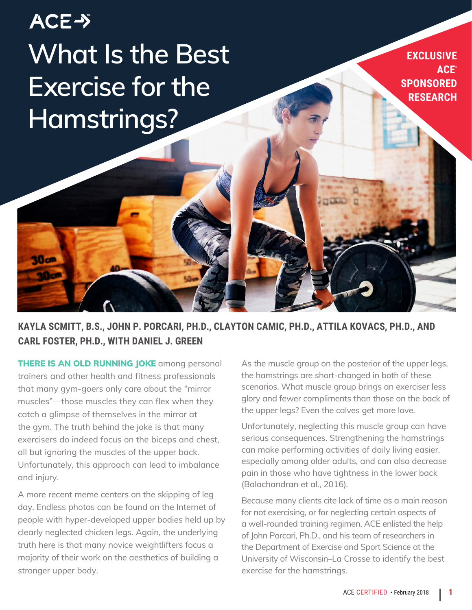# **ACE-> What Is the Best Exercise for the Hamstrings?**

**EXCLUSIVE ACE® SPONSORED RESEARCH**

**KAYLA SCMITT, B.S., JOHN P. PORCARI, PH.D., CLAYTON CAMIC, PH.D., ATTILA KOVACS, PH.D., AND CARL FOSTER, PH.D., WITH DANIEL J. GREEN**

**THERE IS AN OLD RUNNING JOKE** among personal trainers and other health and fitness professionals that many gym-goers only care about the "mirror muscles"—those muscles they can flex when they catch a glimpse of themselves in the mirror at the gym. The truth behind the joke is that many exercisers do indeed focus on the biceps and chest, all but ignoring the muscles of the upper back. Unfortunately, this approach can lead to imbalance and injury.

30cm

A more recent meme centers on the skipping of leg day. Endless photos can be found on the Internet of people with hyper-developed upper bodies held up by clearly neglected chicken legs. Again, the underlying truth here is that many novice weightlifters focus a majority of their work on the aesthetics of building a stronger upper body.

As the muscle group on the posterior of the upper legs, the hamstrings are short-changed in both of these scenarios. What muscle group brings an exerciser less glory and fewer compliments than those on the back of the upper legs? Even the calves get more love.

Unfortunately, neglecting this muscle group can have serious consequences. Strengthening the hamstrings can make performing activities of daily living easier, especially among older adults, and can also decrease pain in those who have tightness in the lower back (Balachandran et al., 2016).

Because many clients cite lack of time as a main reason for not exercising, or for neglecting certain aspects of a well-rounded training regimen, ACE enlisted the help of John Porcari, Ph.D., and his team of researchers in the Department of Exercise and Sport Science at the University of Wisconsin–La Crosse to identify the best exercise for the hamstrings.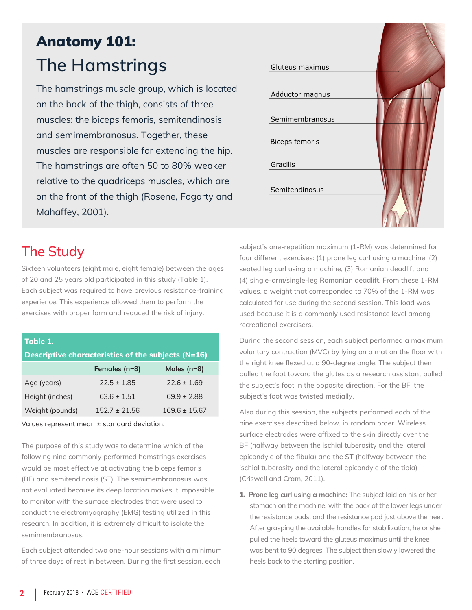## Anatomy 101: **The Hamstrings**

The hamstrings muscle group, which is located on the back of the thigh, consists of three muscles: the biceps femoris, semitendinosis and semimembranosus. Together, these muscles are responsible for extending the hip. The hamstrings are often 50 to 80% weaker relative to the quadriceps muscles, which are on the front of the thigh (Rosene, Fogarty and Mahaffey, 2001).



## **The Study**

Sixteen volunteers (eight male, eight female) between the ages of 20 and 25 years old participated in this study (Table 1). Each subject was required to have previous resistance-training experience. This experience allowed them to perform the exercises with proper form and reduced the risk of injury.

| Table 1.                                           |                 |                   |
|----------------------------------------------------|-----------------|-------------------|
| Descriptive characteristics of the subjects (N=16) |                 |                   |
|                                                    | Females (n=8)   | Males $(n=8)$     |
| Age (years)                                        | $72.5 + 1.85$   | $72.6 + 1.69$     |
| Height (inches)                                    | $63.6 + 1.51$   | $69.9 + 2.88$     |
| Weight (pounds)                                    | $152.7 + 21.56$ | $169.6 \pm 15.67$ |

Values represent mean ± standard deviation.

The purpose of this study was to determine which of the following nine commonly performed hamstrings exercises would be most effective at activating the biceps femoris (BF) and semitendinosis (ST). The semimembranosus was not evaluated because its deep location makes it impossible to monitor with the surface electrodes that were used to conduct the electromyography (EMG) testing utilized in this research. In addition, it is extremely difficult to isolate the semimembranosus.

Each subject attended two one-hour sessions with a minimum of three days of rest in between. During the first session, each

subject's one-repetition maximum (1-RM) was determined for four different exercises: (1) prone leg curl using a machine, (2) seated leg curl using a machine, (3) Romanian deadlift and (4) single-arm/single-leg Romanian deadlift. From these 1-RM values, a weight that corresponded to 70% of the 1-RM was calculated for use during the second session. This load was used because it is a commonly used resistance level among recreational exercisers.

During the second session, each subject performed a maximum voluntary contraction (MVC) by lying on a mat on the floor with the right knee flexed at a 90-degree angle. The subject then pulled the foot toward the glutes as a research assistant pulled the subject's foot in the opposite direction. For the BF, the subject's foot was twisted medially.

Also during this session, the subjects performed each of the nine exercises described below, in random order. Wireless surface electrodes were affixed to the skin directly over the BF (halfway between the ischial tuberosity and the lateral epicondyle of the fibula) and the ST (halfway between the ischial tuberosity and the lateral epicondyle of the tibia) (Criswell and Cram, 2011).

1. **Prone leg curl using a machine:** The subject laid on his or her stomach on the machine, with the back of the lower legs under the resistance pads, and the resistance pad just above the heel. After grasping the available handles for stabilization, he or she pulled the heels toward the gluteus maximus until the knee was bent to 90 degrees. The subject then slowly lowered the heels back to the starting position.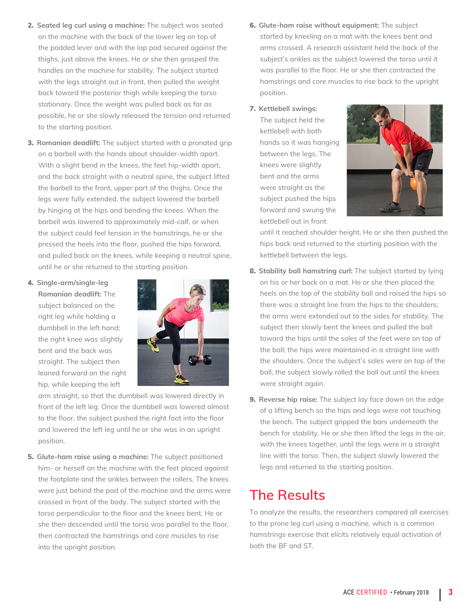- 2. **Seated leg curl using a machine:** The subject was seated on the machine with the back of the lower leg on top of the padded lever and with the lap pad secured against the thighs, just above the knees. He or she then grasped the handles on the machine for stability. The subject started with the legs straight out in front, then pulled the weight back toward the posterior thigh while keeping the torso stationary. Once the weight was pulled back as far as possible, he or she slowly released the tension and returned to the starting position.
- 3. **Romanian deadlift:** The subject started with a pronated grip on a barbell with the hands about shoulder-width apart. With a slight bend in the knees, the feet hip-width apart, and the back straight with a neutral spine, the subject lifted the barbell to the front, upper part of the thighs. Once the legs were fully extended, the subject lowered the barbell by hinging at the hips and bending the knees. When the barbell was lowered to approximately mid-calf, or when the subject could feel tension in the hamstrings, he or she pressed the heels into the floor, pushed the hips forward, and pulled back on the knees, while keeping a neutral spine, until he or she returned to the starting position.
- 4. **Single-arm/single-leg Romanian deadlift:** The subject balanced on the right leg while holding a dumbbell in the left hand; the right knee was slightly bent and the back was straight. The subject then leaned forward on the right hip, while keeping the left



arm straight, so that the dumbbell was lowered directly in front of the left leg. Once the dumbbell was lowered almost to the floor, the subject pushed the right foot into the floor and lowered the left leg until he or she was in an upright position.

5. **Glute-ham raise using a machine:** The subject positioned him- or herself on the machine with the feet placed against the footplate and the ankles between the rollers. The knees were just behind the pad of the machine and the arms were crossed in front of the body. The subject started with the torso perpendicular to the floor and the knees bent. He or she then descended until the torso was parallel to the floor, then contracted the hamstrings and core muscles to rise into the upright position.

- 6. **Glute-ham raise without equipment:** The subject started by kneeling on a mat with the knees bent and arms crossed. A research assistant held the back of the subject's ankles as the subject lowered the torso until it was parallel to the floor. He or she then contracted the hamstrings and core muscles to rise back to the upright position.
- 7. **Kettlebell swings:**

The subject held the kettlebell with both hands so it was hanging between the legs. The knees were slightly bent and the arms were straight as the subject pushed the hips forward and swung the kettlebell out in front



until it reached shoulder height. He or she then pushed the hips back and returned to the starting position with the kettlebell between the legs.

- 8. **Stability ball hamstring curl:** The subject started by lying on his or her back on a mat. He or she then placed the heels on the top of the stability ball and raised the hips so there was a straight line from the hips to the shoulders; the arms were extended out to the sides for stability. The subject then slowly bent the knees and pulled the ball toward the hips until the soles of the feet were on top of the ball; the hips were maintained in a straight line with the shoulders. Once the subject's soles were on top of the ball, the subject slowly rolled the ball out until the knees were straight again.
- 9. **Reverse hip raise:** The subject lay face down on the edge of a lifting bench so the hips and legs were not touching the bench. The subject gripped the bars underneath the bench for stability. He or she then lifted the legs in the air, with the knees together, until the legs were in a straight line with the torso. Then, the subject slowly lowered the legs and returned to the starting position.

## **The Results**

To analyze the results, the researchers compared all exercises to the prone leg curl using a machine, which is a common hamstrings exercise that elicits relatively equal activation of both the BF and ST.